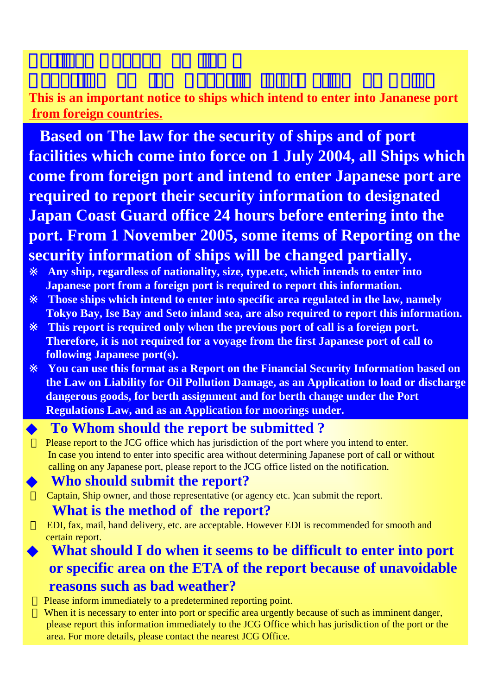## **This is an important notice to ships which intend to enter into Jananese port from foreign countries.**

**Based on The law for the security of ships and of port facilities which come into force on 1 July 2004, all Ships which come from foreign port and intend to enter Japanese port are required to report their security information to designated Japan Coast Guard office 24 hours before entering into the port. From 1 November 2005, some items of Reporting on the security information of ships will be changed partially.** 

Any ship, regardless of nationality, size, type.etc, which intends to enter into **Japanese port from a foreign port is required to report this information. Those ships which intend to enter into specific area regulated in the law, namely Tokyo Bay, Ise Bay and Seto inland sea, are also required to report this information.** This report is required only when the previous port of call is a foreign port. **Therefore, it is not required for a voyage from the first Japanese port of call to following Japanese port(s).**

**You can use this format as a Report on the Financial Security Information based on the Law on Liability for Oil Pollution Damage, as an Application to load or discharge dangerous goods, for berth assignment and for berth change under the Port Regulations Law, and as an Application for moorings under.**

## ◆ **To Whom should the report be submitted ?**

Please report to the JCG office which has jurisdiction of the port where you intend to enter. In case you intend to enter into specific area without determining Japanese port of call or without calling on any Japanese port, please report to the JCG office listed on the notification.

## **Who should submit the report?**

Captain, Ship owner, and those representative (or agency etc. )can submit the report.

## **What is the method of the report?**

EDI, fax, mail, hand delivery, etc. are acceptable. However EDI is recommended for smooth and certain report.

# **What should I do when it seems to be difficult to enter into port or specific area on the ETA of the report because of unavoidable reasons such as bad weather?**

Please inform immediately to a predetermined reporting point.

When it is necessary to enter into port or specific area urgently because of such as imminent danger, please report this information immediately to the JCG Office which has jurisdiction of the port or the area. For more details, please contact the nearest JCG Office.